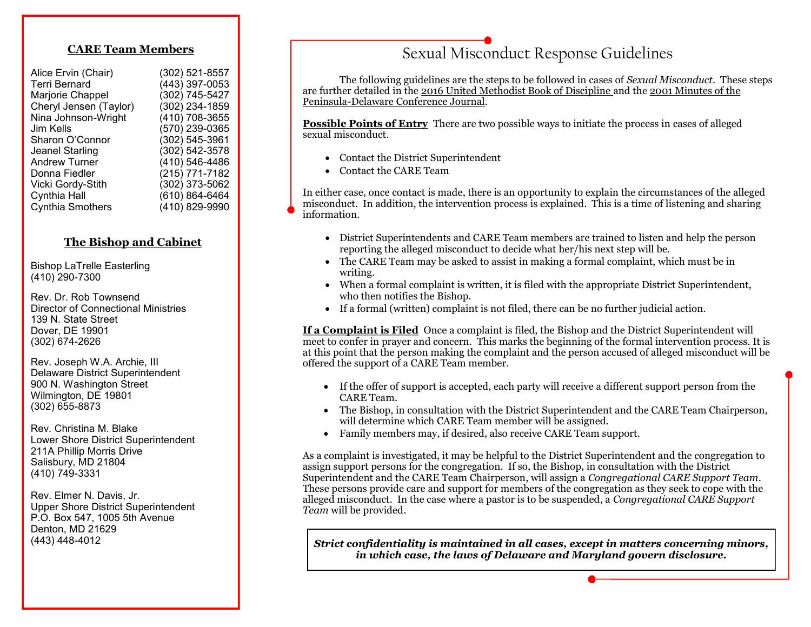#### **CARE Team Members**

| (302) 521-8557 |
|----------------|
| (443) 397-0053 |
| (302) 745-5427 |
| (302) 234-1859 |
| (410) 708-3655 |
| (570) 239-0365 |
| (302) 545-3961 |
| (302) 542-3578 |
| (410) 546-4486 |
| (215) 771-7182 |
| (302) 373-5062 |
| (610) 864-6464 |
| (410) 829-9990 |
|                |

#### **The Bishop and Cabinet**

Bishop LaTrelle Easterling (410) 290-7300

Rev. Dr. Rob Townsend Director of Connectional Ministries 139 N. State Street Dover, DE 19901 (302) 674-2626

Rev. Joseph W.A. Archie, III Delaware District Superintendent 900 N. Washington Street Wilmington, DE 19801 (302) 655-8873

Rev. Christina M. Blake Lower Shore District Superintendent 211A Phillip Morris Drive Salisbury, MD 21804 (410) 749-3331

Rev. Elmer N. Davis, Jr. Upper Shore District Superintendent P.O. Box 547, 1005 5th Avenue Denton, MD 21629 (443) 448-4012

## Sexual Misconduct Response Guidelines

The following guidelines are the steps to be followed in cases of *Sexual Misconduct*. These steps are further detailed in the 2016 United Methodist Book of Discipline and the 2001 Minutes of the Peninsula-Delaware Conference Journal.

**Possible Points of Entry** There are two possible ways to initiate the process in cases of alleged sexual misconduct.

- Contact the District Superintendent
- Contact the CARE Team

In either case, once contact is made, there is an opportunity to explain the circumstances of the alleged misconduct. In addition, the intervention process is explained. This is a time of listening and sharing information.

- District Superintendents and CARE Team members are trained to listen and help the person reporting the alleged misconduct to decide what her/his next step will be.
- The CARE Team may be asked to assist in making a formal complaint, which must be in writing.
- When a formal complaint is written, it is filed with the appropriate District Superintendent, who then notifies the Bishop.
- If a formal (written) complaint is not filed, there can be no further judicial action.

**If a Complaint is Filed** Once a complaint is filed, the Bishop and the District Superintendent will meet to confer in prayer and concern. This marks the beginning of the formal intervention process. It is at this point that the person making the complaint and the person accused of alleged misconduct will be offered the support of a CARE Team member.

- If the offer of support is accepted, each party will receive a different support person from the CARE Team.
- The Bishop, in consultation with the District Superintendent and the CARE Team Chairperson, will determine which CARE Team member will be assigned.
- Family members may, if desired, also receive CARE Team support.

As a complaint is investigated, it may be helpful to the District Superintendent and the congregation to assign support persons for the congregation. If so, the Bishop, in consultation with the District Superintendent and the CARE Team Chairperson, will assign a *Congregational CARE Support Team*. These persons provide care and support for members of the congregation as they seek to cope with the alleged misconduct. In the case where a pastor is to be suspended, a *Congregational CARE Support Team* will be provided.

*Strict confidentiality is maintained in all cases, except in matters concerning minors, in which case, the laws of Delaware and Maryland govern disclosure.*